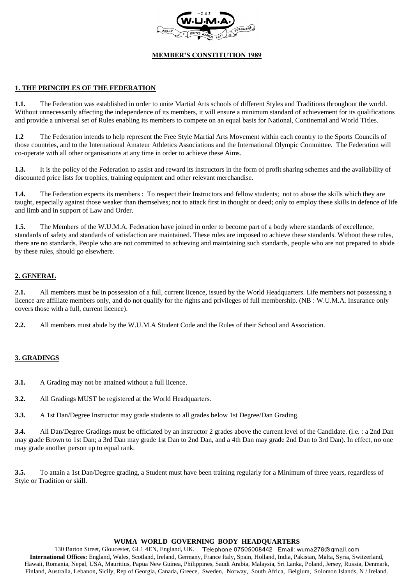

## **1. THE PRINCIPLES OF THE FEDERATION**

**1.1.** The Federation was established in order to unite Martial Arts schools of different Styles and Traditions throughout the world. Without unnecessarily affecting the independence of its members, it will ensure a minimum standard of achievement for its qualifications and provide a universal set of Rules enabling its members to compete on an equal basis for National, Continental and World Titles.

**1.2** The Federation intends to help represent the Free Style Martial Arts Movement within each country to the Sports Councils of those countries, and to the International Amateur Athletics Associations and the International Olympic Committee. The Federation will co-operate with all other organisations at any time in order to achieve these Aims.

**1.3.** It is the policy of the Federation to assist and reward its instructors in the form of profit sharing schemes and the availability of discounted price lists for trophies, training equipment and other relevant merchandise.

**1.4.** The Federation expects its members : To respect their Instructors and fellow students; not to abuse the skills which they are taught, especially against those weaker than themselves; not to attack first in thought or deed; only to employ these skills in defence of life and limb and in support of Law and Order.

**1.5.** The Members of the W.U.M.A. Federation have joined in order to become part of a body where standards of excellence, standards of safety and standards of satisfaction are maintained. These rules are imposed to achieve these standards. Without these rules, there are no standards. People who are not committed to achieving and maintaining such standards, people who are not prepared to abide by these rules, should go elsewhere.

# **2. GENERAL**

**2.1.** All members must be in possession of a full, current licence, issued by the World Headquarters. Life members not possessing a licence are affiliate members only, and do not qualify for the rights and privileges of full membership. (NB : W.U.M.A. Insurance only covers those with a full, current licence).

**2.2.** All members must abide by the W.U.M.A Student Code and the Rules of their School and Association.

# **3. GRADINGS**

- **3.1.** A Grading may not be attained without a full licence.
- **3.2.** All Gradings MUST be registered at the World Headquarters.

**3.3.** A 1st Dan/Degree Instructor may grade students to all grades below 1st Degree/Dan Grading.

**3.4.** All Dan/Degree Gradings must be officiated by an instructor 2 grades above the current level of the Candidate. (i.e. : a 2nd Dan may grade Brown to 1st Dan; a 3rd Dan may grade 1st Dan to 2nd Dan, and a 4th Dan may grade 2nd Dan to 3rd Dan). In effect, no one may grade another person up to equal rank.

**3.5.** To attain a 1st Dan/Degree grading, a Student must have been training regularly for a Minimum of three years, regardless of Style or Tradition or skill.

#### **WUMA WORLD GOVERNING BODY HEADQUARTERS**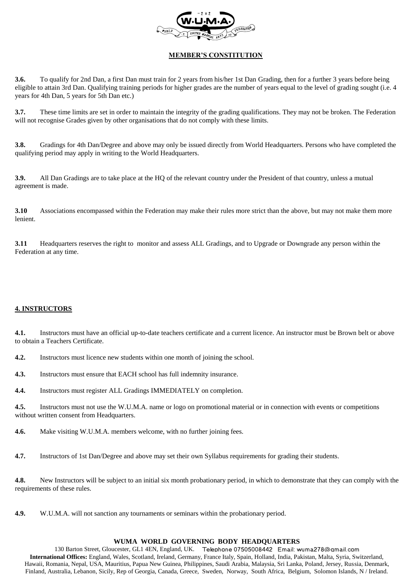

**3.6.** To qualify for 2nd Dan, a first Dan must train for 2 years from his/her 1st Dan Grading, then for a further 3 years before being eligible to attain 3rd Dan. Qualifying training periods for higher grades are the number of years equal to the level of grading sought (i.e. 4 years for 4th Dan, 5 years for 5th Dan etc.)

**3.7.** These time limits are set in order to maintain the integrity of the grading qualifications. They may not be broken. The Federation will not recognise Grades given by other organisations that do not comply with these limits.

**3.8.** Gradings for 4th Dan/Degree and above may only be issued directly from World Headquarters. Persons who have completed the qualifying period may apply in writing to the World Headquarters.

**3.9.** All Dan Gradings are to take place at the HQ of the relevant country under the President of that country, unless a mutual agreement is made.

**3.10** Associations encompassed within the Federation may make their rules more strict than the above, but may not make them more lenient.

**3.11** Headquarters reserves the right to monitor and assess ALL Gradings, and to Upgrade or Downgrade any person within the Federation at any time.

# **4. INSTRUCTORS**

**4.1.** Instructors must have an official up-to-date teachers certificate and a current licence. An instructor must be Brown belt or above to obtain a Teachers Certificate.

**4.2.** Instructors must licence new students within one month of joining the school.

**4.3.** Instructors must ensure that EACH school has full indemnity insurance.

**4.4.** Instructors must register ALL Gradings IMMEDIATELY on completion.

**4.5.** Instructors must not use the W.U.M.A. name or logo on promotional material or in connection with events or competitions without written consent from Headquarters.

**4.6.** Make visiting W.U.M.A. members welcome, with no further joining fees.

**4.7.** Instructors of 1st Dan/Degree and above may set their own Syllabus requirements for grading their students.

**4.8.** New Instructors will be subject to an initial six month probationary period, in which to demonstrate that they can comply with the requirements of these rules.

**4.9.** W.U.M.A. will not sanction any tournaments or seminars within the probationary period.

#### **WUMA WORLD GOVERNING BODY HEADQUARTERS**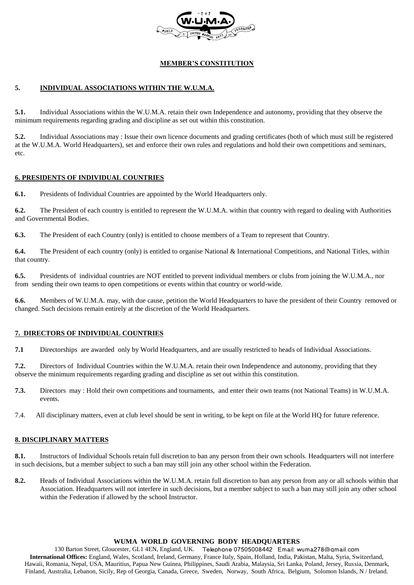

# **5. INDIVIDUAL ASSOCIATIONS WITHIN THE W.U.M.A.**

**5.1.** Individual Associations within the W.U.M.A. retain their own Independence and autonomy, providing that they observe the minimum requirements regarding grading and discipline as set out within this constitution.

**5.2.** Individual Associations may : Issue their own licence documents and grading certificates (both of which must still be registered at the W.U.M.A. World Headquarters), set and enforce their own rules and regulations and hold their own competitions and seminars, etc.

## **6. PRESIDENTS OF INDIVIDUAL COUNTRIES**

**6.1.** Presidents of Individual Countries are appointed by the World Headquarters only.

**6.2.** The President of each country is entitled to represent the W.U.M.A. within that country with regard to dealing with Authorities and Governmental Bodies.

**6.3.** The President of each Country (only) is entitled to choose members of a Team to represent that Country.

**6.4.** The President of each country (only) is entitled to organise National & International Competitions, and National Titles, within that country.

**6.5.** Presidents of individual countries are NOT entitled to prevent individual members or clubs from joining the W.U.M.A., nor from sending their own teams to open competitions or events within that country or world-wide.

**6.6.** Members of W.U.M.A. may, with due cause, petition the World Headquarters to have the president of their Country removed or changed. Such decisions remain entirely at the discretion of the World Headquarters.

## **7. DIRECTORS OF INDIVIDUAL COUNTRIES**

**7.1** Directorships are awarded only by World Headquarters, and are usually restricted to heads of Individual Associations.

**7.2.** Directors of Individual Countries within the W.U.M.A. retain their own Independence and autonomy, providing that they observe the minimum requirements regarding grading and discipline as set out within this constitution.

- **7.3.** Directors may : Hold their own competitions and tournaments, and enter their own teams (not National Teams) in W.U.M.A. events.
- 7.4. All disciplinary matters, even at club level should be sent in writing, to be kept on file at the World HQ for future reference.

## **8. DISCIPLINARY MATTERS**

**8.1.** Instructors of Individual Schools retain full discretion to ban any person from their own schools. Headquarters will not interfere in such decisions, but a member subject to such a ban may still join any other school within the Federation.

**8.2.** Heads of Individual Associations within the W.U.M.A. retain full discretion to ban any person from any or all schools within that Association. Headquarters will not interfere in such decisions, but a member subject to such a ban may still join any other school within the Federation if allowed by the school Instructor.

#### **WUMA WORLD GOVERNING BODY HEADQUARTERS**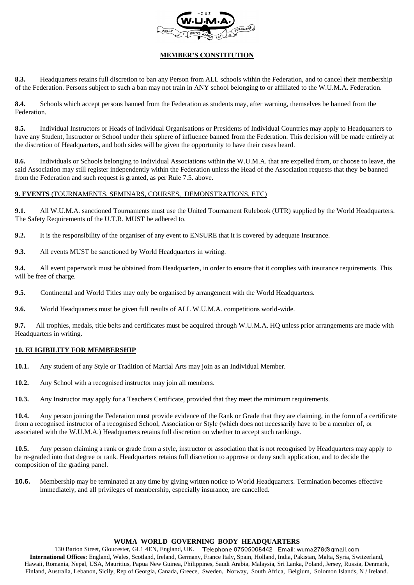

**8.3.** Headquarters retains full discretion to ban any Person from ALL schools within the Federation, and to cancel their membership of the Federation. Persons subject to such a ban may not train in ANY school belonging to or affiliated to the W.U.M.A. Federation.

**8.4.** Schools which accept persons banned from the Federation as students may, after warning, themselves be banned from the Federation.

**8.5.** Individual Instructors or Heads of Individual Organisations or Presidents of Individual Countries may apply to Headquarters to have any Student, Instructor or School under their sphere of influence banned from the Federation. This decision will be made entirely at the discretion of Headquarters, and both sides will be given the opportunity to have their cases heard.

**8.6.** Individuals or Schools belonging to Individual Associations within the W.U.M.A. that are expelled from, or choose to leave, the said Association may still register independently within the Federation unless the Head of the Association requests that they be banned from the Federation and such request is granted, as per Rule 7.5. above.

## **9. EVENTS** (TOURNAMENTS, SEMINARS, COURSES, DEMONSTRATIONS, ETC)

**9.1.** All W.U.M.A. sanctioned Tournaments must use the United Tournament Rulebook (UTR) supplied by the World Headquarters. The Safety Requirements of the U.T.R. MUST be adhered to.

**9.2.** It is the responsibility of the organiser of any event to ENSURE that it is covered by adequate Insurance.

**9.3.** All events MUST be sanctioned by World Headquarters in writing.

**9.4.** All event paperwork must be obtained from Headquarters, in order to ensure that it complies with insurance requirements. This will be free of charge.

**9.5.** Continental and World Titles may only be organised by arrangement with the World Headquarters.

**9.6.** World Headquarters must be given full results of ALL W.U.M.A. competitions world-wide.

**9.7.** All trophies, medals, title belts and certificates must be acquired through W.U.M.A. HQ unless prior arrangements are made with Headquarters in writing.

## **10. ELIGIBILITY FOR MEMBERSHIP**

- **10.1.** Any student of any Style or Tradition of Martial Arts may join as an Individual Member.
- **10.2.** Any School with a recognised instructor may join all members.

**10.3.** Any Instructor may apply for a Teachers Certificate, provided that they meet the minimum requirements.

**10.4.** Any person joining the Federation must provide evidence of the Rank or Grade that they are claiming, in the form of a certificate from a recognised instructor of a recognised School, Association or Style (which does not necessarily have to be a member of, or associated with the W.U.M.A.) Headquarters retains full discretion on whether to accept such rankings.

**10.5.** Any person claiming a rank or grade from a style, instructor or association that is not recognised by Headquarters may apply to be re-graded into that degree or rank. Headquarters retains full discretion to approve or deny such application, and to decide the composition of the grading panel.

**10.6.** Membership may be terminated at any time by giving written notice to World Headquarters. Termination becomes effective immediately, and all privileges of membership, especially insurance, are cancelled.

#### **WUMA WORLD GOVERNING BODY HEADQUARTERS**